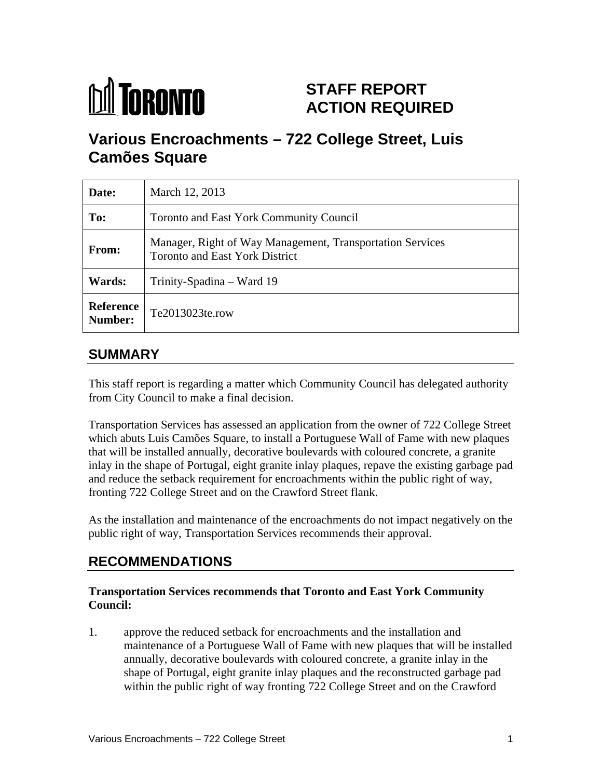

# **STAFF REPORT ACTION REQUIRED**

# **Various Encroachments – 722 College Street, Luis Camões Square**

| Date:         | March 12, 2013                                                                              |
|---------------|---------------------------------------------------------------------------------------------|
| To:           | Toronto and East York Community Council                                                     |
| <b>From:</b>  | Manager, Right of Way Management, Transportation Services<br>Toronto and East York District |
| <b>Wards:</b> | Trinity-Spadina – Ward 19                                                                   |
|               | Reference<br>Number: Te2013023te.row                                                        |

# **SUMMARY**

This staff report is regarding a matter which Community Council has delegated authority from City Council to make a final decision.

Transportation Services has assessed an application from the owner of 722 College Street which abuts Luis Camões Square, to install a Portuguese Wall of Fame with new plaques that will be installed annually, decorative boulevards with coloured concrete, a granite inlay in the shape of Portugal, eight granite inlay plaques, repave the existing garbage pad and reduce the setback requirement for encroachments within the public right of way, fronting 722 College Street and on the Crawford Street flank.

As the installation and maintenance of the encroachments do not impact negatively on the public right of way, Transportation Services recommends their approval.

# **RECOMMENDATIONS**

#### **Transportation Services recommends that Toronto and East York Community Council:**

1. approve the reduced setback for encroachments and the installation and maintenance of a Portuguese Wall of Fame with new plaques that will be installed annually, decorative boulevards with coloured concrete, a granite inlay in the shape of Portugal, eight granite inlay plaques and the reconstructed garbage pad within the public right of way fronting 722 College Street and on the Crawford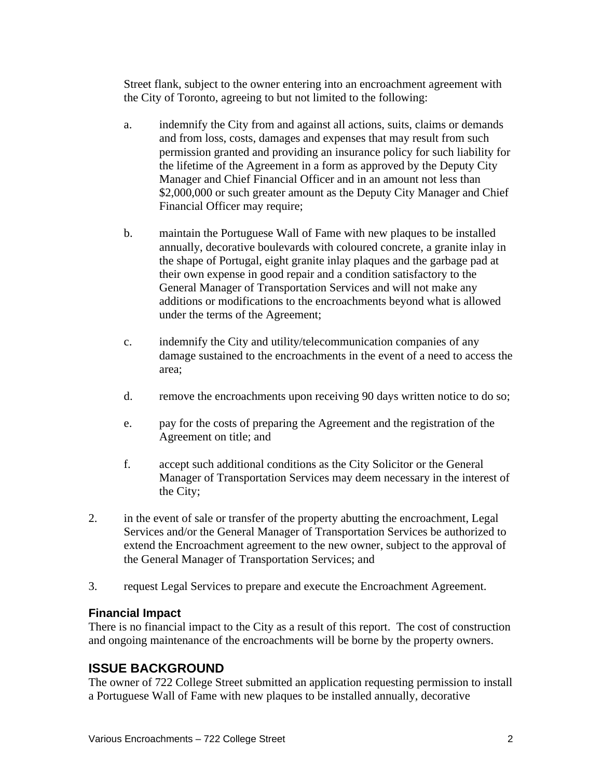Street flank, subject to the owner entering into an encroachment agreement with the City of Toronto, agreeing to but not limited to the following:

- a. indemnify the City from and against all actions, suits, claims or demands and from loss, costs, damages and expenses that may result from such permission granted and providing an insurance policy for such liability for the lifetime of the Agreement in a form as approved by the Deputy City Manager and Chief Financial Officer and in an amount not less than \$2,000,000 or such greater amount as the Deputy City Manager and Chief Financial Officer may require;
- b. maintain the Portuguese Wall of Fame with new plaques to be installed annually, decorative boulevards with coloured concrete, a granite inlay in the shape of Portugal, eight granite inlay plaques and the garbage pad at their own expense in good repair and a condition satisfactory to the General Manager of Transportation Services and will not make any additions or modifications to the encroachments beyond what is allowed under the terms of the Agreement;
- c. indemnify the City and utility/telecommunication companies of any damage sustained to the encroachments in the event of a need to access the area;
- d. remove the encroachments upon receiving 90 days written notice to do so;
- e. pay for the costs of preparing the Agreement and the registration of the Agreement on title; and  $\overline{a}$
- f. accept such additional conditions as the City Solicitor or the General Manager of Transportation Services may deem necessary in the interest of the City;
- 2. in the event of sale or transfer of the property abutting the encroachment, Legal Services and/or the General Manager of Transportation Services be authorized to extend the Encroachment agreement to the new owner, subject to the approval of the General Manager of Transportation Services; and
- 3. request Legal Services to prepare and execute the Encroachment Agreement.

#### **Financial Impact**

There is no financial impact to the City as a result of this report. The cost of construction and ongoing maintenance of the encroachments will be borne by the property owners.

# **ISSUE BACKGROUND**

The owner of 722 College Street submitted an application requesting permission to install a Portuguese Wall of Fame with new plaques to be installed annually, decorative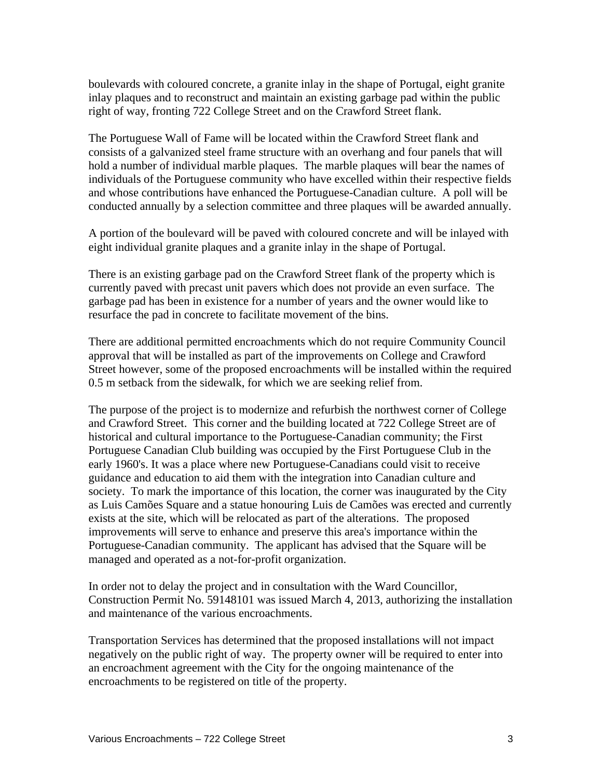boulevards with coloured concrete, a granite inlay in the shape of Portugal, eight granite inlay plaques and to reconstruct and maintain an existing garbage pad within the public right of way, fronting 722 College Street and on the Crawford Street flank.

The Portuguese Wall of Fame will be located within the Crawford Street flank and consists of a galvanized steel frame structure with an overhang and four panels that will hold a number of individual marble plaques. The marble plaques will bear the names of individuals of the Portuguese community who have excelled within their respective fields and whose contributions have enhanced the Portuguese-Canadian culture. A poll will be conducted annually by a selection committee and three plaques will be awarded annually.

A portion of the boulevard will be paved with coloured concrete and will be inlayed with eight individual granite plaques and a granite inlay in the shape of Portugal.

There is an existing garbage pad on the Crawford Street flank of the property which is currently paved with precast unit pavers which does not provide an even surface. The garbage pad has been in existence for a number of years and the owner would like to resurface the pad in concrete to facilitate movement of the bins.

There are additional permitted encroachments which do not require Community Council approval that will be installed as part of the improvements on College and Crawford Street however, some of the proposed encroachments will be installed within the required 0.5 m setback from the sidewalk, for which we are seeking relief from.

The purpose of the project is to modernize and refurbish the northwest corner of College and Crawford Street. This corner and the building located at 722 College Street are of historical and cultural importance to the Portuguese-Canadian community; the First Portuguese Canadian Club building was occupied by the First Portuguese Club in the early 1960's. It was a place where new Portuguese-Canadians could visit to receive guidance and education to aid them with the integration into Canadian culture and society. To mark the importance of this location, the corner was inaugurated by the City as Luis Camões Square and a statue honouring Luis de Camões was erected and currently exists at the site, which will be relocated as part of the alterations. The proposed improvements will serve to enhance and preserve this area's importance within the Portuguese-Canadian community. The applicant has advised that the Square will be managed and operated as a not-for-profit organization.

In order not to delay the project and in consultation with the Ward Councillor, Construction Permit No. 59148101 was issued March 4, 2013, authorizing the installation and maintenance of the various encroachments.

Transportation Services has determined that the proposed installations will not impact negatively on the public right of way. The property owner will be required to enter into an encroachment agreement with the City for the ongoing maintenance of the encroachments to be registered on title of the property.